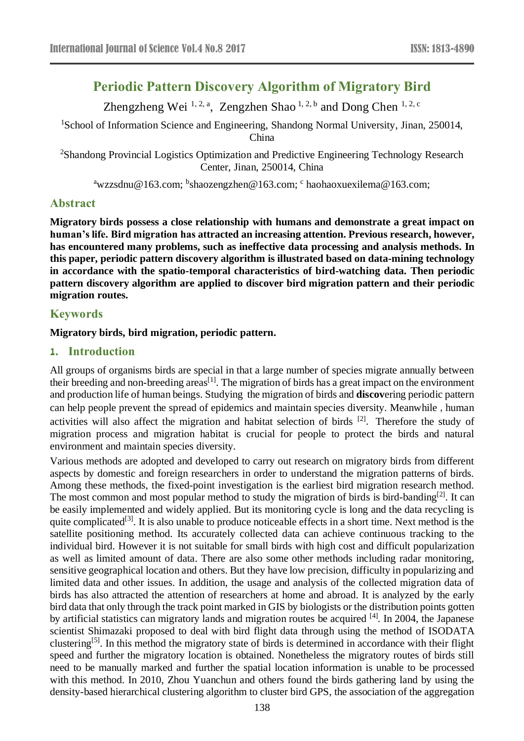# **Periodic Pattern Discovery [Algorithm](http://dict.cnki.net/dict_result.aspx?searchword=%e7%ae%97%e6%b3%95&tjType=sentence&style=&t=algorithm) of Migratory Bird**

Zhengzheng Wei<sup>1, 2, a</sup>, Zengzhen Shao<sup>1, 2, b</sup> and Dong Chen<sup>1, 2, c</sup>

<sup>1</sup>School of Information Science and Engineering, Shandong Normal University, Jinan, 250014, China

<sup>2</sup>Shandong Provincial Logistics Optimization and Predictive Engineering Technology Research Center, Jinan, 250014, China

<sup>a</sup>wzzsdnu@163.com; <sup>b</sup>shaozengzhen@163.com; <sup>c</sup> haohaoxuexilema@163.com;

### **Abstract**

**Migratory birds possess a close relationship with humans and demonstrate a great impact on human's life. Bird migration has attracted an increasing attention. Previous research, however, has encountered many problems, such as ineffective data processing and analysis methods. In this paper, periodic pattern discovery [algorithm](http://dict.cnki.net/dict_result.aspx?searchword=%e7%ae%97%e6%b3%95&tjType=sentence&style=&t=algorithm) is illustrated based on data-mining technology in accordance with the spatio-temporal characteristics of bird-watching data. Then periodic pattern discovery [algorithm](http://dict.cnki.net/dict_result.aspx?searchword=%e7%ae%97%e6%b3%95&tjType=sentence&style=&t=algorithm) are applied to discover bird migration pattern and their periodic migration routes.**

# **Keywords**

#### **Migratory birds, bird migration, periodic pattern.**

# **1. Introduction**

All groups of organisms birds are special in that a large number of species migrate annually between their breeding and non-breeding areas<sup>[1]</sup>. The migration of birds has a great impact on the environment and production life of human beings. Studying the migration of birds and **discov**ering periodic pattern can help people prevent the spread of epidemics and maintain species diversity. Meanwhile, human activities will also affect the migration and habitat selection of birds <sup>[2]</sup>. Therefore the study of migration process and migration habitat is crucial for people to protect the birds and natural environment and maintain species diversity.

Various methods are adopted and developed to carry out research on migratory birds from different aspects by domestic and foreign researchers in order to understand the migration patterns of birds. Among these methods, the fixed-point investigation is the earliest bird migration research method. The most common and most popular method to study the migration of birds is bird-banding<sup>[2]</sup>. It can be easily implemented and widely applied. But its monitoring cycle is long and the data recycling is quite complicated<sup>[3]</sup>. It is also unable to produce noticeable effects in a short time. Next method is the satellite positioning method. Its accurately collected data can achieve continuous tracking to the individual bird. However it is not suitable for small birds with high cost and difficult popularization as well as limited amount of data. There are also some other methods including radar monitoring, sensitive geographical location and others. But they have low precision, difficulty in popularizing and limited data and other issues. In addition, the usage and analysis of the collected migration data of birds has also attracted the attention of researchers at home and abroad. It is analyzed by the early bird data that only through the track point marked in GIS by biologists or the distribution points gotten by artificial statistics can migratory lands and migration routes be acquired [4]. In 2004, the Japanese scientist Shimazaki proposed to deal with bird flight data through using the method of ISODATA clustering<sup>[5]</sup>. In this method the migratory state of birds is determined in accordance with their flight speed and further the migratory location is obtained. Nonetheless the migratory routes of birds still need to be manually marked and further the spatial location information is unable to be processed with this method. In 2010, Zhou Yuanchun and others found the birds gathering land by using the density-based hierarchical clustering algorithm to cluster bird GPS, the association of the aggregation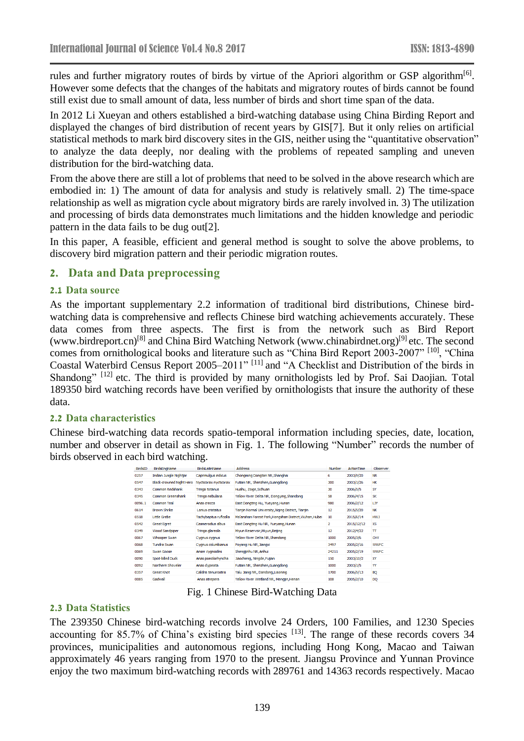rules and further migratory routes of birds by virtue of the Apriori algorithm or GSP algorithm<sup>[6]</sup>. However some defects that the changes of the habitats and migratory routes of birds cannot be found still exist due to small amount of data, less number of birds and short time span of the data.

In 2012 Li Xueyan and others established a bird-watching database using China Birding Report and displayed the changes of bird distribution of recent years by GIS[7]. But it only relies on artificial statistical methods to mark bird discovery sites in the GIS, neither using the "quantitative observation" to analyze the data deeply, nor dealing with the problems of repeated sampling and uneven distribution for the bird-watching data.

From the above there are still a lot of problems that need to be solved in the above research which are embodied in: 1) The amount of data for analysis and study is relatively small. 2) The time-space relationship as well as migration cycle about migratory birds are rarely involved in. 3) The utilization and processing of birds data demonstrates much limitations and the hidden knowledge and periodic pattern in the data fails to be dug out[2].

In this paper, A feasible, efficient and general method is sought to solve the above problems, to discovery bird migration pattern and their periodic migration routes.

### **2. Data and Data preprocessing**

#### **2.1 Data source**

As the important supplementary 2.2 information of traditional bird distributions, Chinese birdwatching data is comprehensive and reflects Chinese bird watching achievements accurately. These data comes from three aspects. The first is from the network such as Bird Report (www.birdreport.cn)<sup>[8]</sup> and China Bird Watching Network [\(www.chinabirdnet.org\)](http://www.chinabirdnet.org/)<sup>[9]</sup> etc. The second comes from ornithological books and literature such as "China Bird Report 2003-2007" [10], "China Coastal Waterbird Census Report 2005–2011" [11] and "A Checklist and Distribution of the birds in Shandong" <sup>[12]</sup> etc. The third is provided by many ornithologists led by Prof. Sai Daojian. Total 189350 bird watching records have been verified by ornithologists that insure the authority of these data.

#### **2.2 Data characteristics**

Chinese bird-watching data records spatio-temporal information including species, date, location, number and observer in detail as shown in Fig. 1. The following "Number" records the number of birds observed in each bird watching.

| <b>BirdsID</b> | <b>BirdsEngName</b>             | <b>Birds</b> afinName  | <b>Address</b>                                         | Number                  | <b>ActionTime</b> | Observer    |
|----------------|---------------------------------|------------------------|--------------------------------------------------------|-------------------------|-------------------|-------------|
| 0257           | Indian Jungle Nightjar          | Caprimulgus indicus    | Chongming Dongtan NR, Shanghai                         | 6                       | 2003/9/20         | <b>NR</b>   |
| 0547           | <b>Black-crowned Night Hero</b> | Nycticorax nycticorax  | Futian NR, Shenzhen, Guangdong                         | 300                     | 2003/1/26         | HК          |
| 0343           | <b>Common Redshank</b>          | Tringa totanus         | Huahu, Zoige, Sichuan                                  | 30                      | 2006/5/5          | SY          |
| 0345           | <b>Common Greenshank</b>        | Tringa nebularia       | Yellow River Delta NR, Dongying, Shandong              | 58                      | 2006/4/15         | SK          |
| 0096.1         | <b>Common Teal</b>              | Anas crecca            | East Dongting Hu, Yueyang, Hunan                       | 980                     | 2006/2/12         | LJY         |
| 0614           | <b>Brown Shrike</b>             | Lanius cristatus       | Tianjin Normal University, Xiging District, Tianjin    | 12                      | 2015/5/20         | NK          |
| 0518           | Little Grebe                    | Tachybaptus ruficollis | Ma'anshan Forest Park, Hongshan District, Wuhan, Hubei | 10                      | 2015/6/14         | <b>HWJ</b>  |
| 0542           | <b>Great Egret</b>              | Casmerodius albus      | East Dongting Hu NR, Yueyang, Hunan                    | $\overline{\mathbf{2}}$ | 2015/12/12        | <b>XS</b>   |
| 0349           | <b>Wood Sandpiper</b>           | Tringa glareola        | Miyun Reservoir, Miyun, Beijing                        | 12                      | 2012/4/22         | π           |
| 0067           | <b>Whooper Swan</b>             | Cygnus cygnus          | Yellow River Delta NR, Shandong                        | 1000                    | 2005/3/6          | <b>CHY</b>  |
| 0068           | Tundra Swan                     | Cvanus columbianus     | Povang Hu NR, Jiangxi                                  | 3497                    | 2005/2/16         | <b>WWFC</b> |
| 0069           | Swan Goose                      | Anser cygnoides        | Shengjinhu NR, Anhui                                   | 24211                   | 2005/2/19         | <b>WWFC</b> |
| 0090           | Spot-billed Duck                | Anas poecilorhyncha    | Jiaocheng, Ningde, Fujian                              | 150                     | 2003/10/2         | XY          |
| 0092           | Northern Shoveler               | Anas dypeata           | Futian NR, Shenzhen, Guangdong                         | 1000                    | 2003/1/5          | YY          |
| 0357           | <b>Great Knot</b>               | Calidris tenuirostris  | Yalu Jiang NR, Dandong, Liaoning                       | 1700                    | 2006/5/13         | <b>BQ</b>   |
| 0085           | Gadwall                         | Anas strepera          | Yellow River Wetland NR, Mengjin, Henan                | 108                     | 2005/2/10         | DQ          |

Fig. 1 Chinese Bird-Watching Data

#### **2.3 Data Statistics**

The 239350 Chinese bird-watching records involve 24 Orders, 100 Families, and 1230 Species accounting for 85.7% of China's existing bird species  $[13]$ . The range of these records covers 34 provinces, municipalities and autonomous regions, including Hong Kong, Macao and Taiwan approximately 46 years ranging from 1970 to the present. Jiangsu Province and Yunnan Province enjoy the two maximum bird-watching records with 289761 and 14363 records respectively. Macao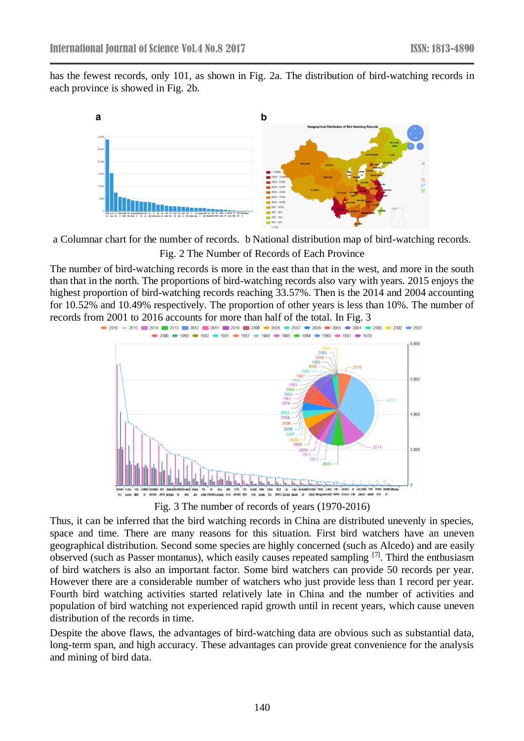has the fewest records, only 101, as shown in Fig. 2a. The distribution of bird-watching records in each province is showed in Fig. 2b.



a Columnar chart for the number of records. b National distribution map of bird-watching records. Fig. 2 The Number of Records of Each Province

The number of bird-watching records is more in the east than that in the west, and more in the south than that in the north. The proportions of bird-watching records also vary with years. 2015 enjoys the highest proportion of bird-watching records reaching 33.57%. Then is the 2014 and 2004 accounting for 10.52% and 10.49% respectively. The proportion of other years is less than 10%. The number of records from 2001 to 2016 accounts for more than half of the total. In Fig. 3



Fig. 3 The number of records of years (1970-2016)

Thus, it can be inferred that the bird watching records in China are distributed unevenly in species, space and time. There are many reasons for this situation. First bird watchers have an uneven geographical distribution. Second some species are highly concerned (such as Alcedo) and are easily observed (such as Passer montanus), which easily causes repeated sampling  $[7]$ . Third the enthusiasm of bird watchers is also an important factor. Some bird watchers can provide 50 records per year. However there are a considerable number of watchers who just provide less than 1 record per year. Fourth bird watching activities started relatively late in China and the number of activities and population of bird watching not experienced rapid growth until in recent years, which cause uneven distribution of the records in time.

Despite the above flaws, the advantages of bird-watching data are obvious such as substantial data, long-term span, and high accuracy. These advantages can provide great convenience for the analysis and mining of bird data.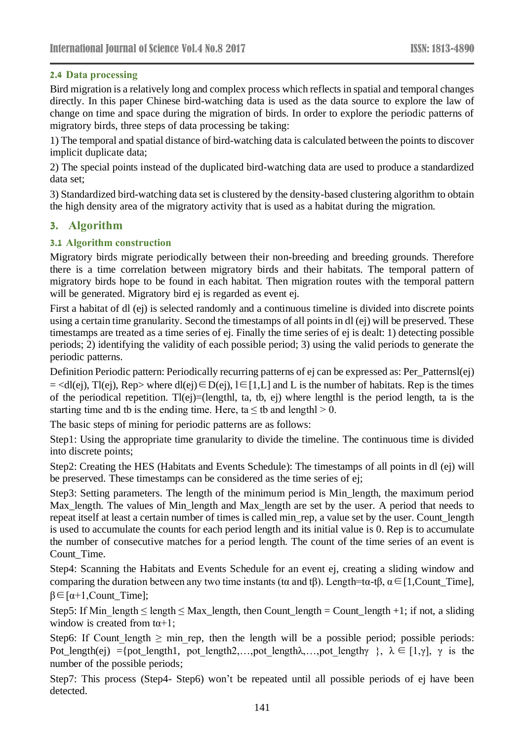# **2.4 Data processing**

Bird migration is a relatively long and complex process which reflects in spatial and temporal changes directly. In this paper Chinese bird-watching data is used as the data source to explore the law of change on time and space during the migration of birds. In order to explore the periodic patterns of migratory birds, three steps of data processing be taking:

1) The temporal and spatial distance of bird-watching data is calculated between the points to discover implicit duplicate data;

2) The special points instead of the duplicated bird-watching data are used to produce a standardized data set;

3) Standardized bird-watching data set is clustered by the density-based clustering algorithm to obtain the high density area of the migratory activity that is used as a habitat during the migration.

# **3. Algorithm**

# **3.1 Algorithm construction**

Migratory birds migrate periodically between their non-breeding and breeding grounds. Therefore there is a time correlation between migratory birds and their habitats. The temporal pattern of migratory birds hope to be found in each habitat. Then migration routes with the temporal pattern will be generated. Migratory bird ej is regarded as event ej.

First a habitat of dl (ej) is selected randomly and a continuous timeline is divided into discrete points using a certain time granularity. Second the timestamps of all points in dl (ej) will be preserved. These timestamps are treated as a time series of ej. Finally the time series of ej is dealt: 1) detecting possible periods; 2) identifying the validity of each possible period; 3) using the valid periods to generate the periodic patterns.

Definition Periodic pattern: Periodically recurring patterns of ej can be expressed as: Per\_Patternsl(ej) = <dl(ej), Tl(ej), Rep> where dl(ej)∈D(ej), l∈[1,L] and L is the number of habitats. Rep is the times of the periodical repetition. Tl(ej)=(lengthl, ta, tb, ej) where lengthl is the period length, ta is the starting time and tb is the ending time. Here, ta  $\leq$  tb and lengthl  $\geq$  0.

The basic steps of mining for periodic patterns are as follows:

Step1: Using the appropriate time granularity to divide the timeline. The continuous time is divided into discrete points;

Step2: Creating the HES (Habitats and Events Schedule): The timestamps of all points in dl (ej) will be preserved. These timestamps can be considered as the time series of ej;

Step3: Setting parameters. The length of the minimum period is Min\_length, the maximum period Max length. The values of Min length and Max length are set by the user. A period that needs to repeat itself at least a certain number of times is called min rep, a value set by the user. Count length is used to accumulate the counts for each period length and its initial value is 0. Rep is to accumulate the number of consecutive matches for a period length. The count of the time series of an event is Count\_Time.

Step4: Scanning the Habitats and Events Schedule for an event ej, creating a sliding window and comparing the duration between any two time instants (tα and tβ). Length=tα-tβ,  $\alpha \in [1,$ Count\_Time],  $\beta \in [\alpha+1,$ Count\_Time];

Step5: If Min  $length \leq length \leq Max\_length$ , then Count\_length = Count\_length +1; if not, a sliding window is created from  $\text{ta+1}$ ;

Step6: If Count length  $\geq$  min\_rep, then the length will be a possible period; possible periods: Pot length(ej) ={pot length1, pot length2,…,pot length $\lambda$ ,…,pot length $\gamma$  },  $\lambda \in [1,\gamma]$ ,  $\gamma$  is the number of the possible periods;

Step7: This process (Step4- Step6) won't be repeated until all possible periods of ej have been detected.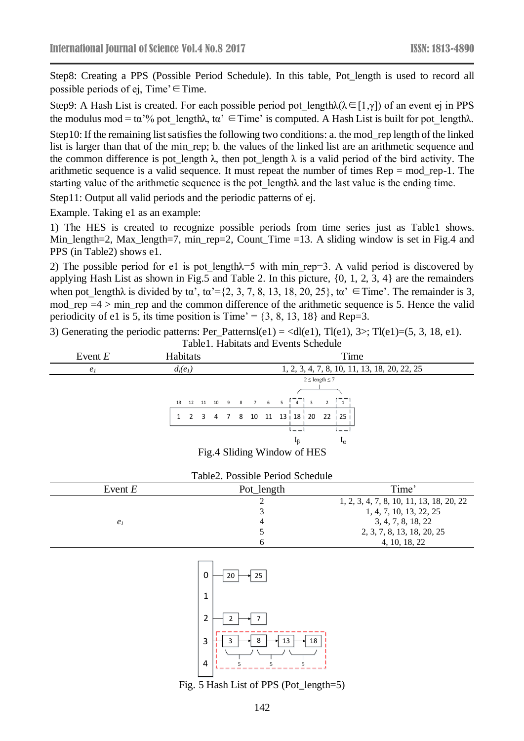Step8: Creating a PPS (Possible Period Schedule). In this table, Pot\_length is used to record all possible periods of ej, Time' $\in$ Time.

Step9: A Hash List is created. For each possible period pot length $\lambda(\lambda \in [1, \gamma])$  of an event ej in PPS the modulus mod = tα'% pot length $\lambda$ , ta'  $\in$  Time' is computed. A Hash List is built for pot length $\lambda$ .

Step10: If the remaining list satisfies the following two conditions: a. the mod\_rep length of the linked list is larger than that of the min\_rep; b. the values of the linked list are an arithmetic sequence and the common difference is pot\_length  $\lambda$ , then pot\_length  $\lambda$  is a valid period of the bird activity. The arithmetic sequence is a valid sequence. It must repeat the number of times Rep = mod\_rep-1. The starting value of the arithmetic sequence is the pot\_lengthλ and the last value is the ending time.

Step11: Output all valid periods and the periodic patterns of ej.

Example. Taking e1 as an example:

1) The HES is created to recognize possible periods from time series just as Table1 shows. Min length=2, Max length=7, min rep=2, Count Time =13. A sliding window is set in Fig.4 and PPS (in Table2) shows e1.

2) The possible period for e1 is pot length $\lambda$ =5 with min rep=3. A valid period is discovered by applying Hash List as shown in Fig.5 and Table 2. In this picture, {0, 1, 2, 3, 4} are the remainders when pot\_length $\lambda$  is divided by ta', ta'={2, 3, 7, 8, 13, 18, 20, 25}, ta'  $\in$ Time'. The remainder is 3, mod\_rep =4 > min\_rep and the common difference of the arithmetic sequence is 5. Hence the valid periodicity of e1 is 5, its time position is  $Time' = \{3, 8, 13, 18\}$  and Rep=3.

| Event $E$      | Habitats                    | Time                                                          |  |  |
|----------------|-----------------------------|---------------------------------------------------------------|--|--|
| e <sub>1</sub> | $d_l(e_l)$                  | 1, 2, 3, 4, 7, 8, 10, 11, 13, 18, 20, 22, 25                  |  |  |
|                |                             | $2 \leq$ length $\leq 7$                                      |  |  |
|                |                             |                                                               |  |  |
|                |                             | 13 12 11 10 9 8 7 6 5 4 3<br>$\overline{1}$<br>$\overline{2}$ |  |  |
|                |                             | 1 2 3 4 7 8 10 11 13 18 20 22 25                              |  |  |
|                |                             |                                                               |  |  |
|                |                             | τß<br>$L_{\alpha}$                                            |  |  |
|                | Fig.4 Sliding Window of HES |                                                               |  |  |

3) Generating the periodic patterns: Per\_Patternsl(e1) =  $\langle$ dl(e1), Tl(e1), 3>; Tl(e1)=(5, 3, 18, e1).

|  | Table 2. Possible Period Schedule |
|--|-----------------------------------|
|--|-----------------------------------|

| Event $E$      | Pot_length | Time'                                    |
|----------------|------------|------------------------------------------|
|                |            | 1, 2, 3, 4, 7, 8, 10, 11, 13, 18, 20, 22 |
|                |            | 1, 4, 7, 10, 13, 22, 25                  |
| e <sub>1</sub> |            | 3, 4, 7, 8, 18, 22                       |
|                |            | 2, 3, 7, 8, 13, 18, 20, 25               |
|                |            | 4, 10, 18, 22                            |



Fig. 5 Hash List of PPS (Pot\_length=5)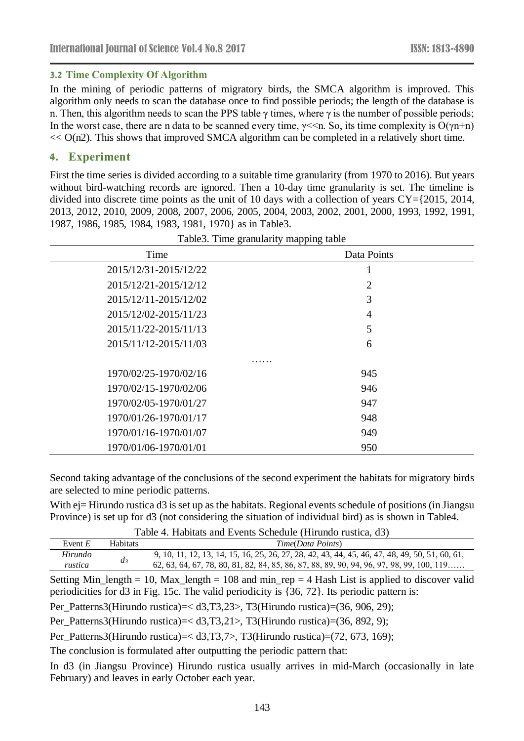#### **3.2 Time Complexity Of Algorithm**

In the mining of periodic patterns of migratory birds, the SMCA algorithm is improved. This algorithm only needs to scan the database once to find possible periods; the length of the database is n. Then, this algorithm needs to scan the PPS table  $\gamma$  times, where  $\gamma$  is the number of possible periods; In the worst case, there are n data to be scanned every time,  $\gamma \ll n$ . So, its time complexity is  $O(\gamma n+n)$  $<< O(n2)$ . This shows that improved SMCA algorithm can be completed in a relatively short time.

## **4. Experiment**

First the time series is divided according to a suitable time granularity (from 1970 to 2016). But years without bird-watching records are ignored. Then a 10-day time granularity is set. The timeline is divided into discrete time points as the unit of 10 days with a collection of years CY={2015, 2014, 2013, 2012, 2010, 2009, 2008, 2007, 2006, 2005, 2004, 2003, 2002, 2001, 2000, 1993, 1992, 1991, 1987, 1986, 1985, 1984, 1983, 1981, 1970} as in Table3.

| Time                  | Data Points    |
|-----------------------|----------------|
| 2015/12/31-2015/12/22 | T              |
| 2015/12/21-2015/12/12 | $\overline{2}$ |
| 2015/12/11-2015/12/02 | 3              |
| 2015/12/02-2015/11/23 | 4              |
| 2015/11/22-2015/11/13 | 5              |
| 2015/11/12-2015/11/03 | 6              |
|                       |                |
| 1970/02/25-1970/02/16 | 945            |
| 1970/02/15-1970/02/06 | 946            |
| 1970/02/05-1970/01/27 | 947            |
| 1970/01/26-1970/01/17 | 948            |
| 1970/01/16-1970/01/07 | 949            |
| 1970/01/06-1970/01/01 | 950            |

Table3. Time granularity mapping table

Second taking advantage of the conclusions of the second experiment the habitats for migratory birds are selected to mine periodic patterns.

With ej= Hirundo rustica d3 is set up as the habitats. Regional events schedule of positions (in Jiangsu Province) is set up for d3 (not considering the situation of individual bird) as is shown in Table4.

|--|

| Event $F$ | <b>Habitats</b> | Time(Data Points)                                                                              |  |  |
|-----------|-----------------|------------------------------------------------------------------------------------------------|--|--|
| Hirundo   | $a_{\beta}$     | 9, 10, 11, 12, 13, 14, 15, 16, 25, 26, 27, 28, 42, 43, 44, 45, 46, 47, 48, 49, 50, 51, 60, 61, |  |  |
| rustica   |                 | 62, 63, 64, 67, 78, 80, 81, 82, 84, 85, 86, 87, 88, 89, 90, 94, 96, 97, 98, 99, 100, 119       |  |  |

Setting Min\_length = 10, Max\_length = 108 and min\_rep = 4 Hash List is applied to discover valid periodicities for d3 in Fig. 15c. The valid periodicity is {36, 72}. Its periodic pattern is:

Per\_Patterns3(Hirundo rustica)=< d3,T3,23>, T3(Hirundo rustica)=(36, 906, 29);

Per\_Patterns3(Hirundo rustica)=< d3,T3,21>, T3(Hirundo rustica)=(36, 892, 9);

Per\_Patterns3(Hirundo rustica)=< d3,T3,7>, T3(Hirundo rustica)=(72, 673, 169);

The conclusion is formulated after outputting the periodic pattern that:

In d3 (in Jiangsu Province) Hirundo rustica usually arrives in mid-March (occasionally in late February) and leaves in early October each year.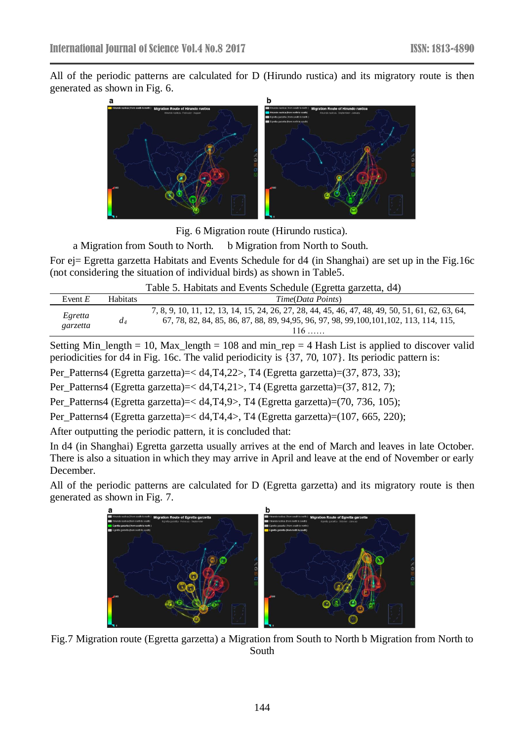All of the periodic patterns are calculated for D (Hirundo rustica) and its migratory route is then generated as shown in Fig. 6.



Fig. 6 Migration route (Hirundo rustica).

#### a Migration from South to North. b Migration from North to South.

For ej= Egretta garzetta Habitats and Events Schedule for d4 (in Shanghai) are set up in the Fig.16c (not considering the situation of individual birds) as shown in Table5.

Table 5. Habitats and Events Schedule (Egretta garzetta, d4)

| Event $E$           | <b>Habitats</b> | Time(Data Points)                                                                                                                                                                                      |
|---------------------|-----------------|--------------------------------------------------------------------------------------------------------------------------------------------------------------------------------------------------------|
| Egretta<br>garzetta | a <sub>4</sub>  | 7, 8, 9, 10, 11, 12, 13, 14, 15, 24, 26, 27, 28, 44, 45, 46, 47, 48, 49, 50, 51, 61, 62, 63, 64,<br>67, 78, 82, 84, 85, 86, 87, 88, 89, 94, 95, 96, 97, 98, 99, 100, 101, 102, 113, 114, 115,<br>$116$ |

Setting Min\_length = 10, Max\_length = 108 and min\_rep = 4 Hash List is applied to discover valid periodicities for d4 in Fig. 16c. The valid periodicity is {37, 70, 107}. Its periodic pattern is:

Per\_Patterns4 (Egretta garzetta)=< d4,T4,22>, T4 (Egretta garzetta)=(37, 873, 33);

Per\_Patterns4 (Egretta garzetta)=< d4,T4,21>, T4 (Egretta garzetta)=(37, 812, 7);

Per\_Patterns4 (Egretta garzetta)=< d4,T4,9>, T4 (Egretta garzetta)=(70, 736, 105);

Per\_Patterns4 (Egretta garzetta)=< d4,T4,4>, T4 (Egretta garzetta)=(107, 665, 220);

After outputting the periodic pattern, it is concluded that:

In d4 (in Shanghai) Egretta garzetta usually arrives at the end of March and leaves in late October. There is also a situation in which they may arrive in April and leave at the end of November or early December.

All of the periodic patterns are calculated for D (Egretta garzetta) and its migratory route is then generated as shown in Fig. 7.



Fig.7 Migration route (Egretta garzetta) a Migration from South to North b Migration from North to South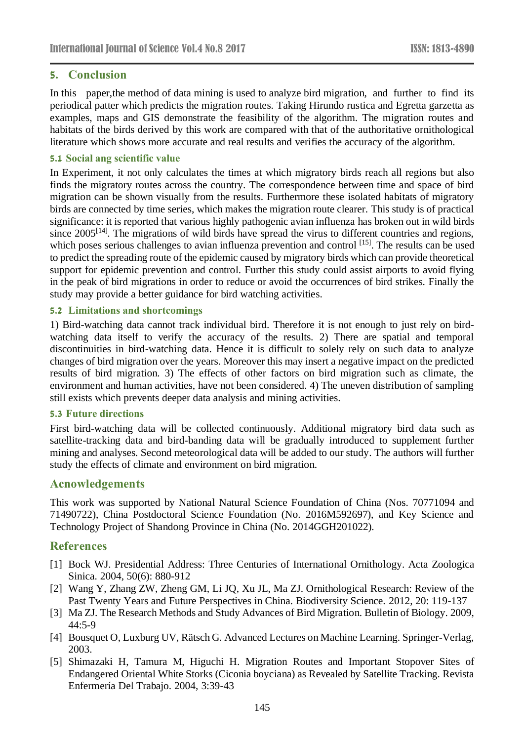# **5. Conclusion**

In this paper,the method of data mining is used to analyze bird migration, and further to find its periodical patter which predicts the migration routes. Taking Hirundo rustica and Egretta garzetta as examples, maps and GIS demonstrate the feasibility of the algorithm. The migration routes and habitats of the birds derived by this work are compared with that of the authoritative ornithological literature which shows more accurate and real results and verifies the accuracy of the algorithm.

#### **5.1 Social ang scientific value**

In Experiment, it not only calculates the times at which migratory birds reach all regions but also finds the migratory routes across the country. The correspondence between time and space of bird migration can be shown visually from the results. Furthermore these isolated habitats of migratory birds are connected by time series, which makes the migration route clearer. This study is of practical significance: it is reported that various highly pathogenic avian influenza has broken out in wild birds since  $2005^{[14]}$ . The migrations of wild birds have spread the virus to different countries and regions, which poses serious challenges to avian influenza prevention and control [15]. The results can be used to predict the spreading route of the epidemic caused by migratory birds which can provide theoretical support for epidemic prevention and control. Further this study could assist airports to avoid flying in the peak of bird migrations in order to reduce or avoid the occurrences of bird strikes. Finally the study may provide a better guidance for bird watching activities.

### **5.2 Limitations and shortcomings**

1) Bird-watching data cannot track individual bird. Therefore it is not enough to just rely on birdwatching data itself to verify the accuracy of the results. 2) There are spatial and temporal discontinuities in bird-watching data. Hence it is difficult to solely rely on such data to analyze changes of bird migration over the years. Moreover this may insert a negative impact on the predicted results of bird migration. 3) The effects of other factors on bird migration such as climate, the environment and human activities, have not been considered. 4) The uneven distribution of sampling still exists which prevents deeper data analysis and mining activities.

#### **5.3 Future directions**

First bird-watching data will be collected continuously. Additional migratory bird data such as satellite-tracking data and bird-banding data will be gradually introduced to supplement further mining and analyses. Second meteorological data will be added to our study. The authors will further study the effects of climate and environment on bird migration.

# **Acnowledgements**

This work was supported by National Natural Science Foundation of China (Nos. 70771094 and 71490722), China Postdoctoral Science Foundation (No. 2016M592697), and Key Science and Technology Project of Shandong Province in China (No. 2014GGH201022).

# **References**

- [1] Bock WJ. Presidential Address: Three Centuries of International Ornithology. Acta Zoologica Sinica. 2004, 50(6): 880-912
- [2] Wang Y, Zhang ZW, Zheng GM, Li JQ, Xu JL, Ma ZJ. Ornithological Research: Review of the Past Twenty Years and Future Perspectives in China. Biodiversity Science. 2012, 20: 119-137
- [3] Ma ZJ. The Research Methods and Study Advances of Bird Migration. Bulletin of Biology. 2009, 44:5-9
- [4] Bousquet O, Luxburg UV, R äsch G. Advanced Lectures on Machine Learning. Springer-Verlag, 2003.
- [5] Shimazaki H, Tamura M, Higuchi H. Migration Routes and Important Stopover Sites of Endangered Oriental White Storks (Ciconia boyciana) as Revealed by Satellite Tracking. Revista Enfermer á Del Trabajo. 2004, 3:39-43